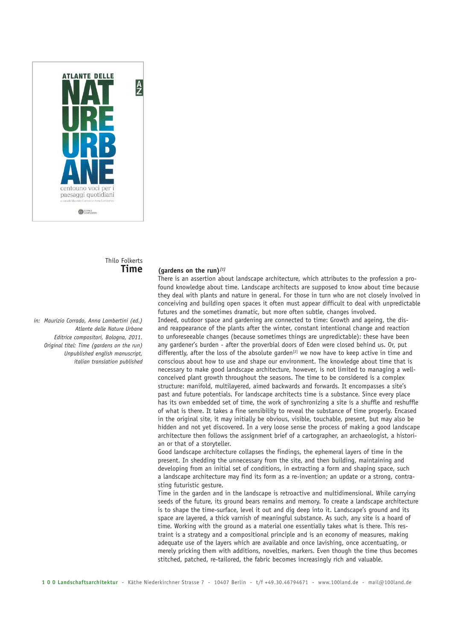

## Thilo Folkerts **Time**

*in: Maurizio Corrado, Anna Lambertini (ed.) Atlante delle Nature Urbane Editrice compositori, Bologna, 2011. Original titel: Time (gardens on the run) Unpublished english manuscript, italian translation published*

## **(gardens on the run)***[1]*

There is an assertion about landscape architecture, which attributes to the profession a profound knowledge about time. Landscape architects are supposed to know about time because they deal with plants and nature in general. For those in turn who are not closely involved in conceiving and building open spaces it often must appear difficult to deal with unpredictable futures and the sometimes dramatic, but more often subtle, changes involved. Indeed, outdoor space and gardening are connected to time: Growth and ageing, the disand reappearance of the plants after the winter, constant intentional change and reaction to unforeseeable changes (because sometimes things are unpredictable): these have been any gardener's burden - after the proverbial doors of Eden were closed behind us. Or, put differently, after the loss of the absolute garden<sup>[2]</sup> we now have to keep active in time and conscious about how to use and shape our environment. The knowledge about time that is necessary to make good landscape architecture, however, is not limited to managing a wellconceived plant growth throughout the seasons. The time to be considered is a complex structure: manifold, multilayered, aimed backwards and forwards. It encompasses a site's past and future potentials. For landscape architects time is a substance. Since every place has its own embedded set of time, the work of synchronizing a site is a shuffle and reshuffle of what is there. It takes a fine sensibility to reveal the substance of time properly. Encased in the original site, it may initially be obvious, visible, touchable, present, but may also be hidden and not yet discovered. In a very loose sense the process of making a good landscape architecture then follows the assignment brief of a cartographer, an archaeologist, a historian or that of a storyteller.

Good landscape architecture collapses the findings, the ephemeral layers of time in the present. In shedding the unnecessary from the site, and then building, maintaining and developing from an initial set of conditions, in extracting a form and shaping space, such a landscape architecture may find its form as a re-invention; an update or a strong, contrasting futuristic gesture.

Time in the garden and in the landscape is retroactive and multidimensional. While carrying seeds of the future, its ground bears remains and memory. To create a landscape architecture is to shape the time-surface, level it out and dig deep into it. Landscape's ground and its space are layered, a thick varnish of meaningful substance. As such, any site is a hoard of time. Working with the ground as a material one essentially takes what is there. This restraint is a strategy and a compositional principle and is an economy of measures, making adequate use of the layers which are available and once lavishing, once accentuating, or merely pricking them with additions, novelties, markers. Even though the time thus becomes stitched, patched, re-tailored, the fabric becomes increasingly rich and valuable.